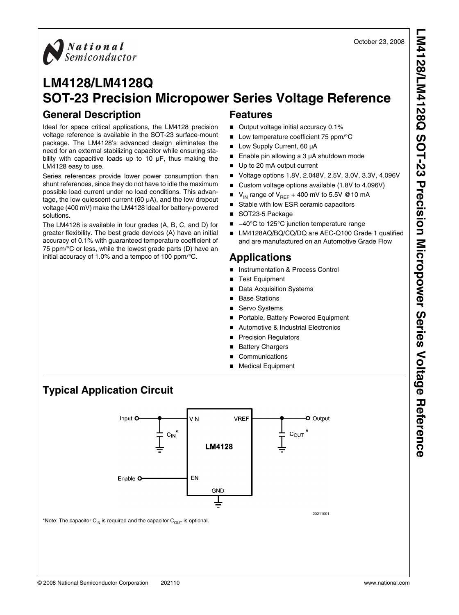

# **LM4128/LM4128Q SOT-23 Precision Micropower Series Voltage Reference**

### **General Description**

Ideal for space critical applications, the LM4128 precision voltage reference is available in the SOT-23 surface-mount package. The LM4128's advanced design eliminates the need for an external stabilizing capacitor while ensuring stability with capacitive loads up to 10 µF, thus making the LM4128 easy to use.

Series references provide lower power consumption than shunt references, since they do not have to idle the maximum possible load current under no load conditions. This advantage, the low quiescent current (60 µA), and the low dropout voltage (400 mV) make the LM4128 ideal for battery-powered solutions.

The LM4128 is available in four grades (A, B, C, and D) for greater flexibility. The best grade devices (A) have an initial accuracy of 0.1% with guaranteed temperature coefficient of 75 ppm/°C or less, while the lowest grade parts (D) have an initial accuracy of 1.0% and a tempco of 100 ppm/°C.

#### **Features**

- Output voltage initial accuracy 0.1%
- Low temperature coefficient 75 ppm/°C
- Low Supply Current, 60 µA
- Enable pin allowing a 3 µA shutdown mode
- Up to 20 mA output current
- Voltage options 1.8V, 2.048V, 2.5V, 3.0V, 3.3V, 4.096V
- Custom voltage options available (1.8V to 4.096V)
- $V_{IN}$  range of  $V_{REF}$  + 400 mV to 5.5V @10 mA
- Stable with low ESR ceramic capacitors
- SOT23-5 Package
- $-40^{\circ}$ C to 125°C junction temperature range
- LM4128AQ/BQ/CQ/DQ are AEC-Q100 Grade 1 qualified and are manufactured on an Automotive Grade Flow

#### **Applications**

- Instrumentation & Process Control
- **Test Equipment**
- **Data Acquisition Systems**
- **Base Stations**
- Servo Systems
- Portable, Battery Powered Equipment
- Automotive & Industrial Electronics
- **Precision Regulators**
- **Battery Chargers**
- **Communications**
- Medical Equipment

## **Typical Application Circuit**



\*Note: The capacitor  $C_{\text{IN}}$  is required and the capacitor  $C_{\text{OUT}}$  is optional.

**LM4128/LM4128Q SOT-23 Precision Micropower Series Voltage Reference**M4128/LM4128Q SOT-23 Precision Micropower Series Voltage Reference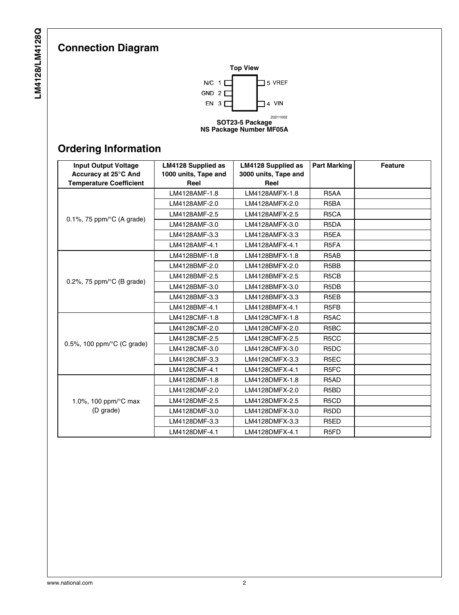# **Connection Diagram**



# **Ordering Information**

| <b>Input Output Voltage</b>          | <b>LM4128 Supplied as</b> | <b>LM4128 Supplied as</b> | <b>Part Marking</b>           | <b>Feature</b> |
|--------------------------------------|---------------------------|---------------------------|-------------------------------|----------------|
| Accuracy at 25°C And                 | 1000 units, Tape and      | 3000 units, Tape and      |                               |                |
| <b>Temperature Coefficient</b>       | Reel                      | Reel                      |                               |                |
|                                      | LM4128AMF-1.8             | LM4128AMFX-1.8            | R <sub>5</sub> AA             |                |
|                                      | LM4128AMF-2.0             | LM4128AMFX-2.0            | R <sub>5</sub> BA             |                |
|                                      | LM4128AMF-2.5             | LM4128AMFX-2.5            | R <sub>5</sub> CA             |                |
| 0.1%, 75 ppm/ $\degree$ C (A grade)  | LM4128AMF-3.0             | LM4128AMFX-3.0            | R <sub>5</sub> DA             |                |
|                                      | LM4128AMF-3.3             | LM4128AMFX-3.3            | R <sub>5</sub> EA             |                |
|                                      | LM4128AMF-4.1             | LM4128AMFX-4.1            | R <sub>5</sub> FA             |                |
|                                      | LM4128BMF-1.8             | LM4128BMFX-1.8            | R <sub>5</sub> A <sub>B</sub> |                |
|                                      | LM4128BMF-2.0             | LM4128BMFX-2.0            | R <sub>5</sub> B <sub>B</sub> |                |
|                                      | LM4128BMF-2.5             | LM4128BMFX-2.5            | R <sub>5</sub> C <sub>B</sub> |                |
| 0.2%, 75 ppm/ $\degree$ C (B grade)  | LM4128BMF-3.0             | LM4128BMFX-3.0            | R <sub>5</sub> D <sub>B</sub> |                |
|                                      | LM4128BMF-3.3             | LM4128BMFX-3.3            | R <sub>5</sub> EB             |                |
|                                      | LM4128BMF-4.1             | LM4128BMFX-4.1            | R <sub>5</sub> F <sub>B</sub> |                |
|                                      | LM4128CMF-1.8             | LM4128CMFX-1.8            | R <sub>5</sub> AC             |                |
|                                      | LM4128CMF-2.0             | LM4128CMFX-2.0            | R <sub>5</sub> BC             |                |
|                                      | LM4128CMF-2.5             | LM4128CMFX-2.5            | R <sub>5</sub> CC             |                |
| 0.5%, 100 ppm/ $\degree$ C (C grade) | LM4128CMF-3.0             | LM4128CMFX-3.0            | R <sub>5</sub> D <sub>C</sub> |                |
|                                      | LM4128CMF-3.3             | LM4128CMFX-3.3            | R <sub>5</sub> EC             |                |
|                                      | LM4128CMF-4.1             | LM4128CMFX-4.1            | R <sub>5</sub> FC             |                |
|                                      | LM4128DMF-1.8             | LM4128DMFX-1.8            | R <sub>5</sub> A <sub>D</sub> |                |
|                                      | LM4128DMF-2.0             | LM4128DMFX-2.0            | R <sub>5</sub> B <sub>D</sub> |                |
| 1.0%, 100 ppm/°C max                 | LM4128DMF-2.5             | LM4128DMFX-2.5            | R <sub>5</sub> C <sub>D</sub> |                |
| (D grade)                            | LM4128DMF-3.0             | LM4128DMFX-3.0            | R <sub>5</sub> D <sub>D</sub> |                |
|                                      | LM4128DMF-3.3             | LM4128DMFX-3.3            | R <sub>5</sub> ED             |                |
|                                      | LM4128DMF-4.1             | LM4128DMFX-4.1            | R <sub>5</sub> FD             |                |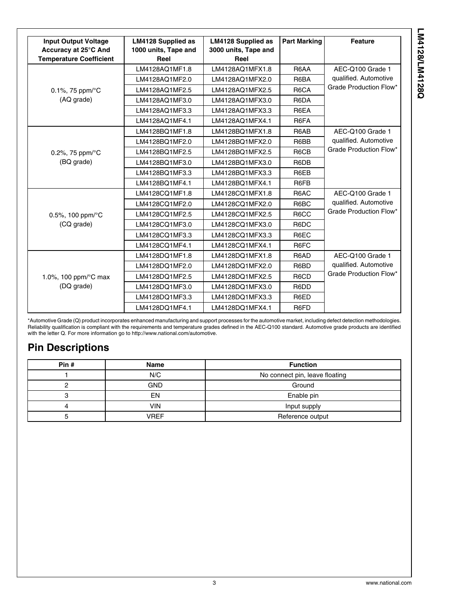| <b>Input Output Voltage</b>    | <b>LM4128 Supplied as</b> | <b>LM4128 Supplied as</b> | <b>Part Marking</b> | <b>Feature</b>         |
|--------------------------------|---------------------------|---------------------------|---------------------|------------------------|
| Accuracy at 25°C And           | 1000 units, Tape and      | 3000 units, Tape and      |                     |                        |
| <b>Temperature Coefficient</b> | Reel                      | Reel                      |                     |                        |
|                                | LM4128AQ1MF1.8            | LM4128AQ1MFX1.8           | R6AA                | AEC-Q100 Grade 1       |
|                                | LM4128AQ1MF2.0            | LM4128AQ1MFX2.0           | R6BA                | qualified. Automotive  |
| 0.1%, 75 ppm/ $\rm ^{\circ}C$  | LM4128AQ1MF2.5            | LM4128AQ1MFX2.5           | R6CA                | Grade Production Flow* |
| (AQ grade)                     | LM4128AQ1MF3.0            | LM4128AQ1MFX3.0           | R6DA                |                        |
|                                | LM4128AQ1MF3.3            | LM4128AQ1MFX3.3           | R6EA                |                        |
|                                | LM4128AQ1MF4.1            | LM4128AQ1MFX4.1           | R6FA                |                        |
|                                | LM4128BQ1MF1.8            | LM4128BO1MFX1.8           | R6AB                | AEC-Q100 Grade 1       |
|                                | LM4128BQ1MF2.0            | LM4128BQ1MFX2.0           | R6BB                | qualified. Automotive  |
| 0.2%, 75 ppm/ $\textdegree$ C  | LM4128BQ1MF2.5            | LM4128BQ1MFX2.5           | R6CB                | Grade Production Flow* |
| (BQ grade)                     | LM4128BQ1MF3.0            | LM4128BQ1MFX3.0           | R6DB                |                        |
|                                | LM4128BQ1MF3.3            | LM4128BQ1MFX3.3           | R6EB                |                        |
|                                | LM4128BQ1MF4.1            | LM4128BQ1MFX4.1           | R6FB                |                        |
|                                | LM4128CQ1MF1.8            | LM4128CQ1MFX1.8           | R6AC                | AEC-Q100 Grade 1       |
|                                | LM4128CQ1MF2.0            | LM4128CQ1MFX2.0           | R6BC                | qualified. Automotive  |
| 0.5%, 100 ppm/°C               | LM4128CQ1MF2.5            | LM4128CQ1MFX2.5           | R6CC                | Grade Production Flow* |
| (CQ grade)                     | LM4128CQ1MF3.0            | LM4128CQ1MFX3.0           | R6DC                |                        |
|                                | LM4128CQ1MF3.3            | LM4128CQ1MFX3.3           | R6EC                |                        |
|                                | LM4128CQ1MF4.1            | LM4128CQ1MFX4.1           | R6FC                |                        |
|                                | LM4128DQ1MF1.8            | LM4128DQ1MFX1.8           | R6AD                | AEC-Q100 Grade 1       |
|                                | LM4128DQ1MF2.0            | LM4128DQ1MFX2.0           | R6BD                | qualified. Automotive  |
| 1.0%, 100 ppm/°C max           | LM4128DQ1MF2.5            | LM4128DQ1MFX2.5           | R6CD                | Grade Production Flow* |
| (DQ grade)                     | LM4128DQ1MF3.0            | LM4128DQ1MFX3.0           | R6DD                |                        |
|                                | LM4128DQ1MF3.3            | LM4128DQ1MFX3.3           | R6ED                |                        |
|                                | LM4128DQ1MF4.1            | LM4128DQ1MFX4.1           | R6FD                |                        |

\*Automotive Grade (Q) product incorporates enhanced manufacturing and support processes for the automotive market, including defect detection methodologies. Reliability qualification is compliant with the requirements and temperature grades defined in the AEC-Q100 standard. Automotive grade products are identified with the letter Q. For more information go to http://www.national.com/automotive.

## **Pin Descriptions**

| Pin# | Name        | <b>Function</b>                |
|------|-------------|--------------------------------|
|      | N/C         | No connect pin, leave floating |
|      | <b>GND</b>  | Ground                         |
|      | EN          | Enable pin                     |
|      | VIN         | Input supply                   |
|      | <b>VREF</b> | Reference output               |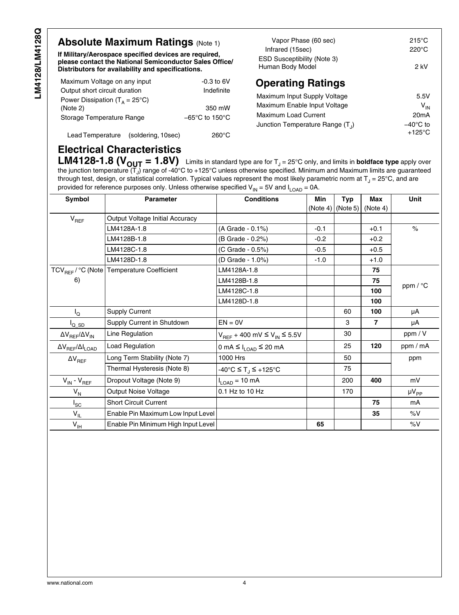## **Absolute Maximum Ratings (Note [1](#page-8-0))**

**If Military/Aerospace specified devices are required, please contact the National Semiconductor Sales Office/ Distributors for availability and specifications.**

| Maximum Voltage on any input            | $-0.3$ to 6V                        |
|-----------------------------------------|-------------------------------------|
| Output short circuit duration           | Indefinite                          |
| Power Dissipation $(T_0 = 25^{\circ}C)$ |                                     |
| (Note 2)                                | 350 mW                              |
| Storage Temperature Range               | $-65^{\circ}$ C to 150 $^{\circ}$ C |
|                                         |                                     |

Lead Temperature (soldering, 10sec) 260°C

| Vapor Phase (60 sec)                                   | 215 $\mathrm{^{\circ}C}$ |
|--------------------------------------------------------|--------------------------|
| Infrared (15sec)                                       | 220°C                    |
| <b>ESD Susceptibility (Note 3)</b><br>Human Body Model | 2 kV                     |

# **Operating Ratings**

| Maximum Input Supply Voltage       | 5.5V               |
|------------------------------------|--------------------|
| Maximum Enable Input Voltage       | $V_{IN}$           |
| <b>Maximum Load Current</b>        | 20 <sub>m</sub> A  |
| Junction Temperature Range $(T_1)$ | $-40^{\circ}$ C to |
|                                    | $+125^{\circ}$ C   |

## **Electrical Characteristics**

**LM4128-1.8 (** $V_{\text{OUT}} = 1.8V$ **)** Limits in standard type are for  $T_J = 25^{\circ}$ C only, and limits in **boldface type** apply over the junction temperature (T $_{\rm J}$ ) range of -40°C to +125°C unless otherwise specified. Minimum and Maximum limits are guaranteed through test, design, or statistical correlation. Typical values represent the most likely parametric norm at T $_{\rm J}$  = 25°C, and are provided for reference purposes only. Unless otherwise specified  $V_{IN} = 5V$  and  $I_{LOAD} = 0A$ .

| Symbol                           | <b>Parameter</b>                                      | <b>Conditions</b>                    | Min      | <b>Typ</b> | Max      | Unit         |
|----------------------------------|-------------------------------------------------------|--------------------------------------|----------|------------|----------|--------------|
|                                  |                                                       |                                      | (Note 4) | (Note 5)   | (Note 4) |              |
| $V_{REF}$                        | Output Voltage Initial Accuracy                       |                                      |          |            |          |              |
|                                  | LM4128A-1.8                                           | (A Grade - 0.1%)                     | $-0.1$   |            | $+0.1$   | $\%$         |
|                                  | LM4128B-1.8                                           | (B Grade - 0.2%)                     | $-0.2$   |            | $+0.2$   |              |
|                                  | LM4128C-1.8                                           | (C Grade - 0.5%)                     | $-0.5$   |            | $+0.5$   |              |
|                                  | LM4128D-1.8                                           | (D Grade - 1.0%)                     | $-1.0$   |            | $+1.0$   |              |
|                                  | TCV <sub>REF</sub> / °C (Note Temperature Coefficient | LM4128A-1.8                          |          |            | 75       |              |
| 6)                               |                                                       | LM4128B-1.8                          |          |            | 75       |              |
|                                  |                                                       | LM4128C-1.8                          |          |            | 100      | ppm / °C     |
|                                  |                                                       | LM4128D-1.8                          |          |            | 100      |              |
| l <sub>Q</sub>                   | <b>Supply Current</b>                                 |                                      |          | 60         | 100      | μA           |
| $I_{Q\_SD}$                      | Supply Current in Shutdown                            | $EN = 0V$                            |          | 3          | 7        | μA           |
| $\Delta V_{REF}/\Delta V_{IN}$   | Line Regulation                                       | $V_{REF}$ + 400 mV ≤ $V_{IN}$ ≤ 5.5V |          | 30         |          | ppm / V      |
| $\Delta V_{REF}/\Delta I_{LOAD}$ | <b>Load Regulation</b>                                | 0 mA ≤ $I_{LOAD}$ ≤ 20 mA            |          | 25         | 120      | ppm / mA     |
| $\Delta V_{REF}$                 | Long Term Stability (Note 7)                          | 1000 Hrs                             |          | 50         |          | ppm          |
|                                  | Thermal Hysteresis (Note 8)                           | -40°C ≤ T <sub>.I</sub> ≤ +125°C     |          | 75         |          |              |
| $V_{IN} - V_{REF}$               | Dropout Voltage (Note 9)                              | $I_{LOAD} = 10 \text{ mA}$           |          | 200        | 400      | mV           |
| $V_{N}$                          | <b>Output Noise Voltage</b>                           | 0.1 Hz to 10 Hz                      |          | 170        |          | $\mu V_{PP}$ |
| $I_{SC}$                         | <b>Short Circuit Current</b>                          |                                      |          |            | 75       | mA           |
| $V_{IL}$                         | Enable Pin Maximum Low Input Level                    |                                      |          |            | 35       | %V           |
| $V_{IH}$                         | Enable Pin Minimum High Input Level                   |                                      | 65       |            |          | %V           |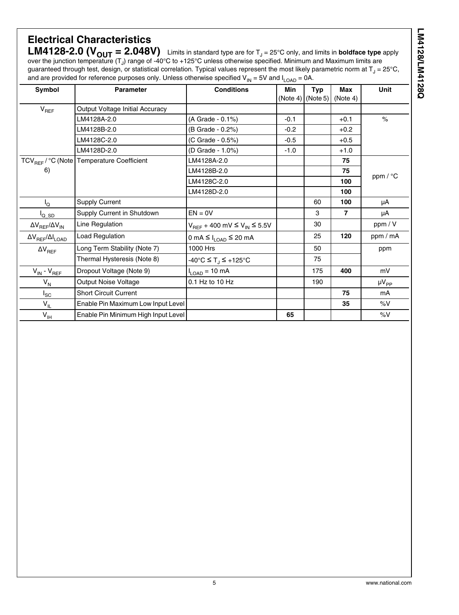## **Electrical Characteristics LM4128-2.0 (** $V_{\text{OUT}}$  **= 2.048V)** Limits in standard type are for  $T_J$  = 25°C only, and limits in **boldface type** apply over the junction temperature (T<sub>J</sub>) range of -40°C to +125°C unless otherwise specified. Minimum and Maximum limits are

guaranteed through test, design, or statistical correlation. Typical values represent the most likely parametric norm at T $_{\rm J}$  = 25°C, and are provided for reference purposes only. Unless otherwise specified  $V_{IN}$  = 5V and  $I_{\sf LOAD}$  = 0A.

| Symbol                           | <b>Parameter</b>                                        | <b>Conditions</b>                          | Min<br>$(Note 4)$ $(Note 5)$ | <b>Typ</b> | <b>Max</b><br>(Note 4) | Unit               |
|----------------------------------|---------------------------------------------------------|--------------------------------------------|------------------------------|------------|------------------------|--------------------|
| $V_{REF}$                        | Output Voltage Initial Accuracy                         |                                            |                              |            |                        |                    |
|                                  | LM4128A-2.0                                             | (A Grade - 0.1%)                           | $-0.1$                       |            | $+0.1$                 | $\frac{1}{\alpha}$ |
|                                  | LM4128B-2.0                                             | (B Grade - 0.2%)                           | $-0.2$                       |            | $+0.2$                 |                    |
|                                  | LM4128C-2.0                                             | (C Grade - 0.5%)                           | $-0.5$                       |            | $+0.5$                 |                    |
|                                  | LM4128D-2.0                                             | (D Grade - 1.0%)                           | $-1.0$                       |            | $+1.0$                 |                    |
|                                  | TCV <sub>REF</sub> / °C (Note   Temperature Coefficient | LM4128A-2.0                                |                              |            | 75                     |                    |
| 6)                               |                                                         | LM4128B-2.0                                |                              |            | 75                     |                    |
|                                  |                                                         | LM4128C-2.0                                |                              |            | 100                    | ppm / °C           |
|                                  |                                                         | LM4128D-2.0                                |                              |            | 100                    |                    |
| $I_{\Omega}$                     | <b>Supply Current</b>                                   |                                            |                              | 60         | 100                    | μA                 |
| <sup>I</sup> Q SD                | Supply Current in Shutdown                              | $EN = 0V$                                  |                              | 3          | 7                      | μA                 |
| $\Delta V_{REF}/\Delta V_{IN}$   | Line Regulation                                         | $V_{REF}$ + 400 mV ≤ $V_{IN}$ ≤ 5.5V       |                              | 30         |                        | ppm / V            |
| $\Delta V_{REF}/\Delta I_{LOAD}$ | <b>Load Regulation</b>                                  | 0 mA $\leq$ I <sub>LOAD</sub> $\leq$ 20 mA |                              | 25         | 120                    | ppm / mA           |
| $\Delta V_{REF}$                 | Long Term Stability (Note 7)                            | 1000 Hrs                                   |                              | 50         |                        | ppm                |
|                                  | Thermal Hysteresis (Note 8)                             | -40°C ≤ T <sub>J</sub> ≤ +125°C            |                              | 75         |                        |                    |
| $V_{IN} - V_{REF}$               | Dropout Voltage (Note 9)                                | $I_{LOAD} = 10 \text{ mA}$                 |                              | 175        | 400                    | mV                 |
| $V_{N}$                          | <b>Output Noise Voltage</b>                             | 0.1 Hz to 10 Hz                            |                              | 190        |                        | $\mu V_{PP}$       |
| $I_{SC}$                         | <b>Short Circuit Current</b>                            |                                            |                              |            | 75                     | mA                 |
| $V_{IL}$                         | Enable Pin Maximum Low Input Level                      |                                            |                              |            | 35                     | %V                 |
| $V_{\vert H}$                    | Enable Pin Minimum High Input Level                     |                                            | 65                           |            |                        | %V                 |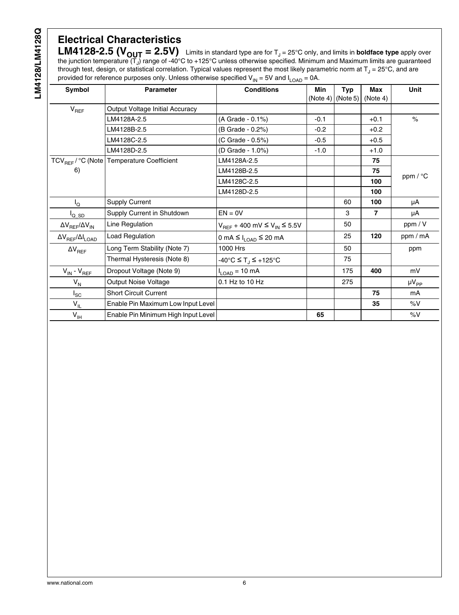# **Electrical Characteristics**

**LM4128-2.5 (** $V_{\text{OUT}} = 2.5V$ **)** Limits in standard type are for T<sub>J</sub> = 25°C only, and limits in **boldface type** apply over the junction temperature (T<sub>J</sub>) range of -40°C to +125°C unless otherwise specified. Minimum and Maximum limits are guaranteed through test, design, or statistical correlation. Typical values represent the most likely parametric norm at T $_{\rm J}$  = 25°C, and are provided for reference purposes only. Unless otherwise specified  $V_{IN}$  = 5V and  $I_{LOAD}$  = 0A.

| Symbol                           | <b>Parameter</b>                                        | <b>Conditions</b>                    | Min    | <b>Typ</b><br>(Note 4) $(Note 5)$ | <b>Max</b><br>(Note 4) | Unit                 |
|----------------------------------|---------------------------------------------------------|--------------------------------------|--------|-----------------------------------|------------------------|----------------------|
| $V_{REF}$                        | Output Voltage Initial Accuracy                         |                                      |        |                                   |                        |                      |
|                                  | LM4128A-2.5                                             | (A Grade - 0.1%)                     | $-0.1$ |                                   | $+0.1$                 | $\frac{1}{\sqrt{2}}$ |
|                                  | LM4128B-2.5                                             | (B Grade - 0.2%)                     | $-0.2$ |                                   | $+0.2$                 |                      |
|                                  | LM4128C-2.5                                             | (C Grade - 0.5%)                     | $-0.5$ |                                   | $+0.5$                 |                      |
|                                  | LM4128D-2.5                                             | (D Grade - 1.0%)                     | $-1.0$ |                                   | $+1.0$                 |                      |
|                                  | TCV <sub>REF</sub> / °C (Note   Temperature Coefficient | LM4128A-2.5                          |        |                                   | 75                     |                      |
| 6)                               |                                                         | LM4128B-2.5                          |        |                                   | 75                     |                      |
|                                  |                                                         | LM4128C-2.5                          |        |                                   | 100                    | ppm / °C             |
|                                  |                                                         | LM4128D-2.5                          |        |                                   | 100                    |                      |
| $I_{\rm Q}$                      | <b>Supply Current</b>                                   |                                      |        | 60                                | 100                    | μA                   |
| $I_{Q\_SD}$                      | Supply Current in Shutdown                              | $EN = 0V$                            |        | 3                                 | $\overline{7}$         | μA                   |
| $\Delta V_{REF}/\Delta V_{IN}$   | Line Regulation                                         | $V_{REF}$ + 400 mV ≤ $V_{IN}$ ≤ 5.5V |        | 50                                |                        | ppm / V              |
| $\Delta V_{REF}/\Delta I_{LOAD}$ | Load Regulation                                         | 0 mA ≤ $I_{\text{LOAD}}$ ≤ 20 mA     |        | 25                                | 120                    | ppm / mA             |
| $\Delta V_{REF}$                 | Long Term Stability (Note 7)                            | 1000 Hrs                             |        | 50                                |                        | ppm                  |
|                                  | Thermal Hysteresis (Note 8)                             | -40°C ≤ T <sub>.I</sub> ≤ +125°C     |        | 75                                |                        |                      |
| $V_{IN} - V_{REF}$               | Dropout Voltage (Note 9)                                | $I_{LOAD} = 10 \text{ mA}$           |        | 175                               | 400                    | mV                   |
| $V_N$                            | <b>Output Noise Voltage</b>                             | 0.1 Hz to 10 Hz                      |        | 275                               |                        | $\mu V_{PP}$         |
| $I_{SC}$                         | <b>Short Circuit Current</b>                            |                                      |        |                                   | 75                     | mA                   |
| $V_{IL}$                         | Enable Pin Maximum Low Input Level                      |                                      |        |                                   | 35                     | $\%V$                |
| $V_{\vert H}$                    | Enable Pin Minimum High Input Level                     |                                      | 65     |                                   |                        | $\%V$                |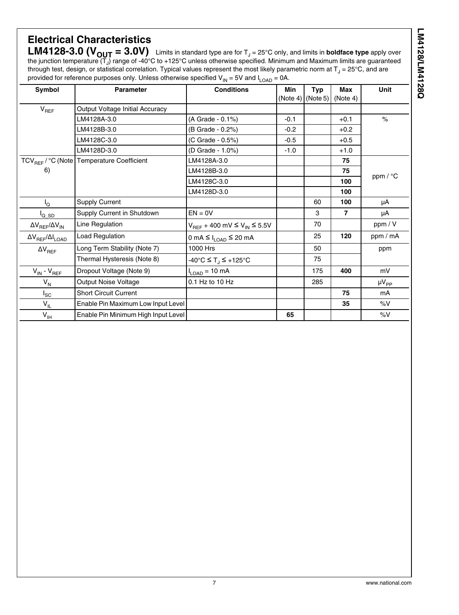| í  |
|----|
|    |
|    |
|    |
|    |
|    |
| ī  |
| о  |
| ı. |
|    |

# **Electrical Characteristics**

**LM4128-3.0 (** $V_{\text{OUT}}$  **= 3.0V)** Limits in standard type are for T<sub>J</sub> = 25°C only, and limits in **boldface type** apply over the junction temperature (T<sub>J</sub>) range of -40°C to +125°C unless otherwise specified. Minimum and Maximum limits are guaranteed through test, design, or statistical correlation. Typical values represent the most likely parametric norm at T $_{\rm J}$  = 25°C, and are provided for reference purposes only. Unless otherwise specified  $V_{IN} = 5V$  and  $I_{LOAD} = 0A$ .

| Symbol                           | <b>Parameter</b>                                        | <b>Conditions</b>                                      | Min<br>(Note 4) | <b>Typ</b><br>(Note 5) | Max<br>(Note 4) | Unit         |
|----------------------------------|---------------------------------------------------------|--------------------------------------------------------|-----------------|------------------------|-----------------|--------------|
| $V_{REF}$                        | Output Voltage Initial Accuracy                         |                                                        |                 |                        |                 |              |
|                                  | LM4128A-3.0                                             | (A Grade - 0.1%)                                       | $-0.1$          |                        | $+0.1$          | $\%$         |
|                                  | LM4128B-3.0                                             | (B Grade - 0.2%)                                       | $-0.2$          |                        | $+0.2$          |              |
|                                  | LM4128C-3.0                                             | (C Grade - 0.5%)                                       | $-0.5$          |                        | $+0.5$          |              |
|                                  | LM4128D-3.0                                             | (D Grade - 1.0%)                                       | $-1.0$          |                        | $+1.0$          |              |
|                                  | TCV <sub>REF</sub> / °C (Note   Temperature Coefficient | LM4128A-3.0                                            |                 |                        | 75              |              |
| 6)                               |                                                         | LM4128B-3.0                                            |                 |                        | 75              |              |
|                                  |                                                         | LM4128C-3.0                                            |                 |                        | 100             | ppm / °C     |
|                                  |                                                         | LM4128D-3.0                                            |                 |                        | 100             |              |
| $I_{\Omega}$                     | <b>Supply Current</b>                                   |                                                        |                 | 60                     | 100             | μA           |
| <sup>I</sup> Q SD                | Supply Current in Shutdown                              | $EN = 0V$                                              |                 | 3                      | 7               | μA           |
| $\Delta V_{REF}/\Delta V_{IN}$   | Line Regulation                                         | $V_{REF}$ + 400 mV ≤ $V_{IN}$ ≤ 5.5V                   |                 | 70                     |                 | ppm / V      |
| $\Delta V_{REF}/\Delta I_{LOAD}$ | Load Regulation                                         | $0 \text{ mA} \leq I_{\text{LOAD}} \leq 20 \text{ mA}$ |                 | 25                     | 120             | ppm / mA     |
| $\Delta V_{REF}$                 | Long Term Stability (Note 7)                            | 1000 Hrs                                               |                 | 50                     |                 | ppm          |
|                                  | Thermal Hysteresis (Note 8)                             | -40°C ≤ T <sub>.I</sub> ≤ +125°C                       |                 | 75                     |                 |              |
| $V_{IN} - V_{REF}$               | Dropout Voltage (Note 9)                                | $I_{LOAD} = 10 \text{ mA}$                             |                 | 175                    | 400             | mV           |
| $V_{N}$                          | <b>Output Noise Voltage</b>                             | 0.1 Hz to 10 Hz                                        |                 | 285                    |                 | $\mu V_{PP}$ |
| $I_{SC}$                         | <b>Short Circuit Current</b>                            |                                                        |                 |                        | 75              | mA           |
| $V_{IL}$                         | Enable Pin Maximum Low Input Level                      |                                                        |                 |                        | 35              | $\%V$        |
| $V_{\text{IH}}$                  | Enable Pin Minimum High Input Level                     |                                                        | 65              |                        |                 | %V           |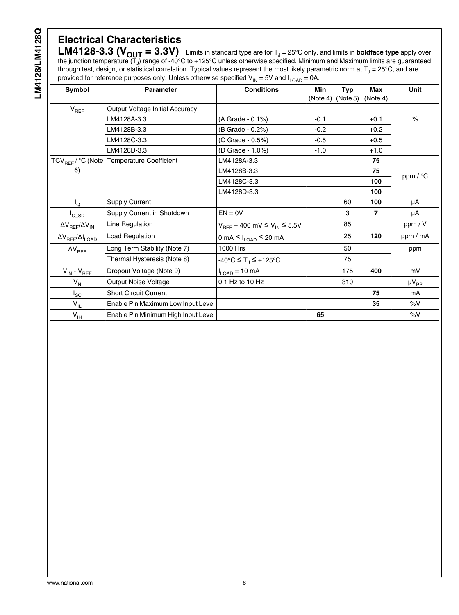# **Electrical Characteristics**

**LM4128-3.3 (** $V_{\text{OUT}} = 3.3V$ **)** Limits in standard type are for T<sub>J</sub> = 25°C only, and limits in **boldface type** apply over the junction temperature (T<sub>J</sub>) range of -40°C to +125°C unless otherwise specified. Minimum and Maximum limits are guaranteed through test, design, or statistical correlation. Typical values represent the most likely parametric norm at T $_{\rm J}$  = 25°C, and are provided for reference purposes only. Unless otherwise specified  $V_{IN}$  = 5V and  $I_{LOAD}$  = 0A.

| Symbol                           | <b>Parameter</b>                                      | <b>Conditions</b>                              | Min                 | <b>Typ</b> | <b>Max</b> | Unit          |
|----------------------------------|-------------------------------------------------------|------------------------------------------------|---------------------|------------|------------|---------------|
|                                  |                                                       |                                                | $(Note 4)$ (Note 5) |            | (Note 4)   |               |
| $V_{REF}$                        | <b>Output Voltage Initial Accuracy</b>                |                                                |                     |            |            |               |
|                                  | LM4128A-3.3                                           | (A Grade - 0.1%)                               | $-0.1$              |            | $+0.1$     | $\frac{1}{2}$ |
|                                  | LM4128B-3.3                                           | (B Grade - 0.2%)                               | $-0.2$              |            | $+0.2$     |               |
|                                  | LM4128C-3.3                                           | (C Grade - 0.5%)                               | $-0.5$              |            | $+0.5$     |               |
|                                  | LM4128D-3.3                                           | (D Grade - 1.0%)                               | $-1.0$              |            | $+1.0$     |               |
|                                  | TCV <sub>REF</sub> / °C (Note Temperature Coefficient | LM4128A-3.3                                    |                     |            | 75         |               |
| 6)                               |                                                       | LM4128B-3.3                                    |                     |            | 75         |               |
|                                  |                                                       | LM4128C-3.3                                    |                     |            | 100        | ppm / °C      |
|                                  |                                                       | LM4128D-3.3                                    |                     |            | 100        |               |
| $I_{\rm Q}$                      | <b>Supply Current</b>                                 |                                                |                     | 60         | 100        | μA            |
| $I_{Q\_SD}$                      | Supply Current in Shutdown                            | $EN = 0V$                                      |                     | 3          | 7          | μA            |
| $\Delta V_{REF}/\Delta V_{IN}$   | Line Regulation                                       | $V_{REF}$ + 400 mV $\leq$ $V_{IN}$ $\leq$ 5.5V |                     | 85         |            | ppm / V       |
| $\Delta V_{REF}/\Delta I_{LOAD}$ | Load Regulation                                       | 0 mA ≤ $I_{LOAD}$ ≤ 20 mA                      |                     | 25         | 120        | ppm / mA      |
| $\Delta V_{REF}$                 | Long Term Stability (Note 7)                          | 1000 Hrs                                       |                     | 50         |            | ppm           |
|                                  | Thermal Hysteresis (Note 8)                           | -40°C ≤ T <sub>.I</sub> ≤ +125°C               |                     | 75         |            |               |
| $V_{IN}$ - $V_{REF}$             | Dropout Voltage (Note 9)                              | $I_{LOAD} = 10 \text{ mA}$                     |                     | 175        | 400        | mV            |
| $V_N$                            | Output Noise Voltage                                  | 0.1 Hz to 10 Hz                                |                     | 310        |            | $\mu V_{PP}$  |
| $I_{SC}$                         | <b>Short Circuit Current</b>                          |                                                |                     |            | 75         | mA            |
| $V_{IL}$                         | Enable Pin Maximum Low Input Level                    |                                                |                     |            | 35         | %V            |
| $V_{\text{IH}}$                  | Enable Pin Minimum High Input Level                   |                                                | 65                  |            |            | %V            |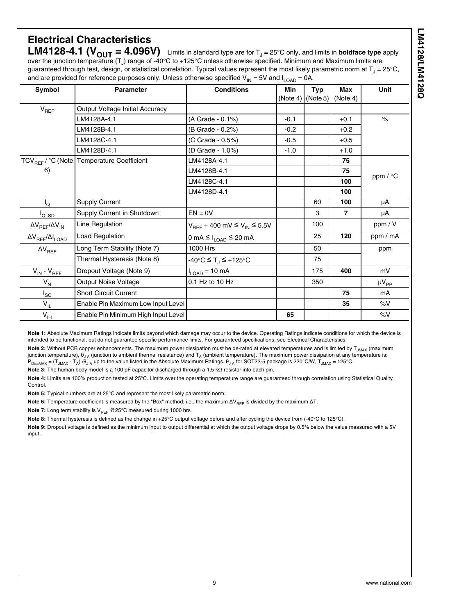### <span id="page-8-0"></span>**Electrical Characteristics LM4128-4.1 (** $V_{\text{OUT}} = 4.096V$ **)** Limits in standard type are for  $T_J = 25^{\circ}$ C only, and limits in **boldface type** apply over the junction temperature (T<sub>J</sub>) range of -40°C to +125°C unless otherwise specified. Minimum and Maximum limits are

guaranteed through test, design, or statistical correlation. Typical values represent the most likely parametric norm at T $_{\rm J}$  = 25°C, and are provided for reference purposes only. Unless otherwise specified  $V_{IN} = 5V$  and  $I_{I \cap AD} = 0A$ .

| Symbol                           | <b>Parameter</b>                                      | <b>Conditions</b>                          | Min                   | <b>Typ</b> | Max      | <b>Unit</b>        |
|----------------------------------|-------------------------------------------------------|--------------------------------------------|-----------------------|------------|----------|--------------------|
|                                  |                                                       |                                            | $(Note 4)$ $(Note 5)$ |            | (Note 4) |                    |
| $V_{REF}$                        | Output Voltage Initial Accuracy                       |                                            |                       |            |          |                    |
|                                  | LM4128A-4.1                                           | (A Grade - 0.1%)                           | $-0.1$                |            | $+0.1$   | $\frac{1}{\alpha}$ |
|                                  | LM4128B-4.1                                           | (B Grade - 0.2%)                           | $-0.2$                |            | $+0.2$   |                    |
|                                  | LM4128C-4.1                                           | (C Grade - 0.5%)                           | $-0.5$                |            | $+0.5$   |                    |
|                                  | LM4128D-4.1                                           | (D Grade - 1.0%)                           | $-1.0$                |            | $+1.0$   |                    |
|                                  | TCV <sub>REF</sub> / °C (Note Temperature Coefficient | LM4128A-4.1                                |                       |            | 75       |                    |
| 6)                               |                                                       | LM4128B-4.1                                |                       |            | 75       | ppm / °C           |
|                                  |                                                       | LM4128C-4.1                                |                       |            | 100      |                    |
|                                  |                                                       | LM4128D-4.1                                |                       |            | 100      |                    |
| $I_{\Omega}$                     | <b>Supply Current</b>                                 |                                            |                       | 60         | 100      | μA                 |
| $I_{Q\_SD}$                      | Supply Current in Shutdown                            | $EN = 0V$                                  |                       | 3          | 7        | μA                 |
| $\Delta V_{REF}/\Delta V_{IN}$   | Line Regulation                                       | $V_{REF}$ + 400 mV ≤ $V_{IN}$ ≤ 5.5V       |                       | 100        |          | ppm / V            |
| $\Delta V_{REF}/\Delta I_{LOAD}$ | Load Regulation                                       | 0 mA $\leq$ I <sub>LOAD</sub> $\leq$ 20 mA |                       | 25         | 120      | ppm / mA           |
| $\Delta V_{REF}$                 | Long Term Stability (Note 7)                          | 1000 Hrs                                   |                       | 50         |          | ppm                |
|                                  | Thermal Hysteresis (Note 8)                           | -40°C ≤ T <sub>.I</sub> ≤ +125°C           |                       | 75         |          |                    |
| $V_{IN}$ - $V_{REF}$             | Dropout Voltage (Note 9)                              | $I_{LOAD} = 10 \text{ mA}$                 |                       | 175        | 400      | mV                 |
| $V_{N}$                          | <b>Output Noise Voltage</b>                           | 0.1 Hz to 10 Hz                            |                       | 350        |          | $\mu V_{PP}$       |
| $I_{SC}$                         | <b>Short Circuit Current</b>                          |                                            |                       |            | 75       | mA                 |
| $V_{IL}$                         | Enable Pin Maximum Low Input Level                    |                                            |                       |            | 35       | %V                 |
| $V_{IH}$                         | Enable Pin Minimum High Input Level                   |                                            | 65                    |            |          | $\%V$              |

**Note 1:** Absolute Maximum Ratings indicate limits beyond which damage may occur to the device. Operating Ratings indicate conditions for which the device is intended to be functional, but do not guarantee specific performance limits. For guaranteed specifications, see Electrical Characteristics.

Note 2: Without PCB copper enhancements. The maximum power dissipation must be de-rated at elevated temperatures and is limited by T<sub>JMAX</sub> (maximum junction temperature), θ<sub>J-A</sub> (junction to ambient thermal resistance) and T<sub>A</sub> (ambient temperature). The maximum power dissipation at any temperature is:  ${\sf P}_{{\sf DissMAX}}$  = (T<sub>JMAX</sub> - T<sub>A</sub>) /θ<sub>J-A</sub> up to the value listed in the Absolute Maximum Ratings.  $\theta_{\sf J\!-\!A}$  for SOT23-5 package is 220°C/W, T<sub>JMAX</sub> = 125°C.

**Note 3:** The human body model is a 100 pF capacitor discharged through a 1.5 kΩ resistor into each pin.

**Note 4:** Limits are 100% production tested at 25°C. Limits over the operating temperature range are guaranteed through correlation using Statistical Quality Control.

**Note 5:** Typical numbers are at 25°C and represent the most likely parametric norm.

**Note 6:** Temperature coefficient is measured by the "Box" method; i.e., the maximum ΔV<sub>RFF</sub> is divided by the maximum ΔT.

**Note 7:** Long term stability is V<sub>REF</sub> @25°C measured during 1000 hrs.

**Note 8:** Thermal hysteresis is defined as the change in +25°C output voltage before and after cycling the device from (-40°C to 125°C).

**Note 9:** Dropout voltage is defined as the minimum input to output differential at which the output voltage drops by 0.5% below the value measured with a 5V input.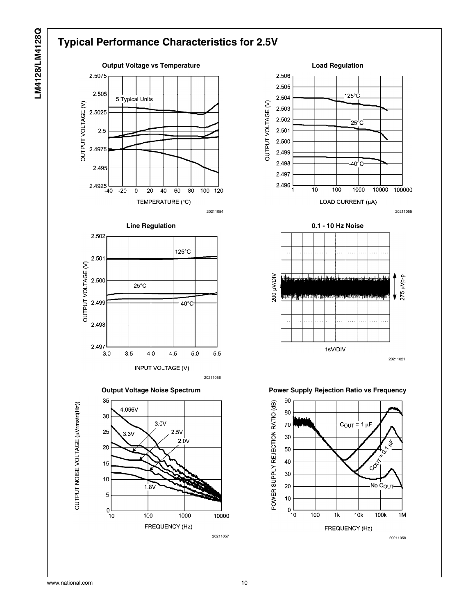# LM4128/LM4128Q **LM4128/LM4128Q**

# **Typical Performance Characteristics for 2.5V**















1sV/DIV



20211058

20211021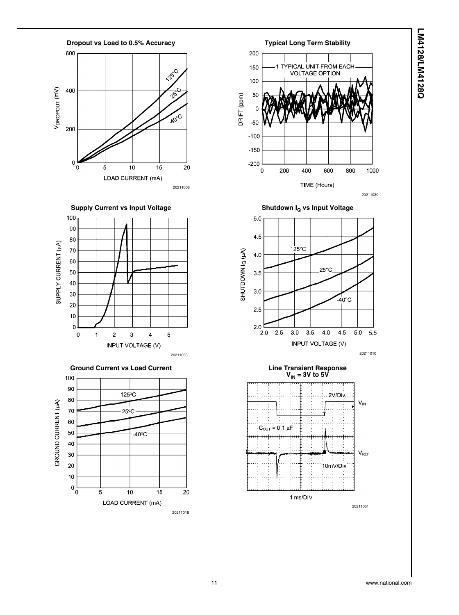







20211051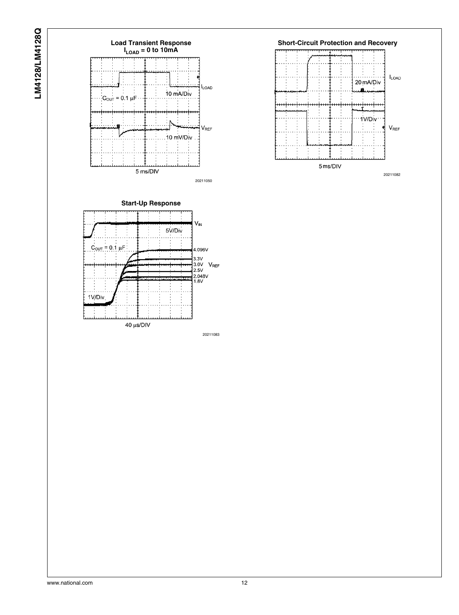

20211083

2.048V<br>1.8V

1V/Div

40 µs/DIV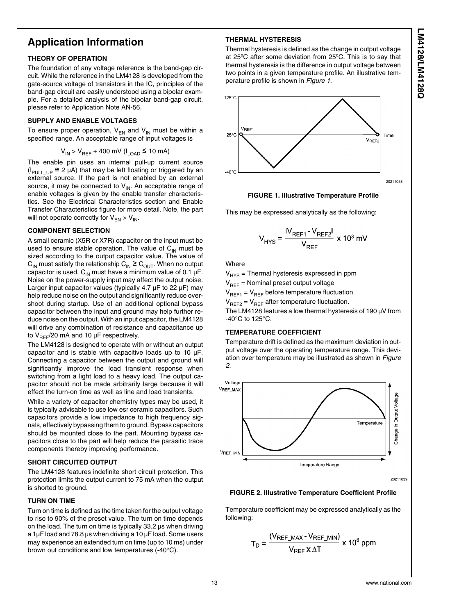## **Application Information**

#### **THEORY OF OPERATION**

The foundation of any voltage reference is the band-gap circuit. While the reference in the LM4128 is developed from the gate-source voltage of transistors in the IC, principles of the band-gap circuit are easily understood using a bipolar example. For a detailed analysis of the bipolar band-gap circuit, please refer to Application Note AN-56.

#### **SUPPLY AND ENABLE VOLTAGES**

To ensure proper operation,  $V_{FN}$  and  $V_{IN}$  must be within a specified range. An acceptable range of input voltages is

$$
V_{IN} > V_{REF} + 400 \text{ mV} (I_{LOAD} \le 10 \text{ mA})
$$

The enable pin uses an internal pull-up current source ( $I_{PULL}$  UP  $\approx$  2 µA) that may be left floating or triggered by an external source. If the part is not enabled by an external source, it may be connected to  $V_{\text{IN}}$ . An acceptable range of enable voltages is given by the enable transfer characteristics. See the Electrical Characteristics section and Enable Transfer Characteristics figure for more detail. Note, the part will not operate correctly for  $V_{FN} > V_{IN}$ .

#### **COMPONENT SELECTION**

A small ceramic (X5R or X7R) capacitor on the input must be used to ensure stable operation. The value of  $C_{\text{IN}}$  must be sized according to the output capacitor value. The value of  $C_{IN}$  must satisfy the relationship  $C_{IN} \geq C_{OUT}$ . When no output capacitor is used,  $C_{IN}$  must have a minimum value of 0.1  $\mu$ F. Noise on the power-supply input may affect the output noise. Larger input capacitor values (typically 4.7 µF to 22 µF) may help reduce noise on the output and significantly reduce overshoot during startup. Use of an additional optional bypass capacitor between the input and ground may help further reduce noise on the output. With an input capacitor, the LM4128 will drive any combination of resistance and capacitance up to  $V_{\text{BFF}}/20$  mA and 10 µF respectively.

The LM4128 is designed to operate with or without an output capacitor and is stable with capacitive loads up to 10 µF. Connecting a capacitor between the output and ground will significantly improve the load transient response when switching from a light load to a heavy load. The output capacitor should not be made arbitrarily large because it will effect the turn-on time as well as line and load transients.

While a variety of capacitor chemistry types may be used, it is typically advisable to use low esr ceramic capacitors. Such capacitors provide a low impedance to high frequency signals, effectively bypassing them to ground. Bypass capacitors should be mounted close to the part. Mounting bypass capacitors close to the part will help reduce the parasitic trace components thereby improving performance.

#### **SHORT CIRCUITED OUTPUT**

The LM4128 features indefinite short circuit protection. This protection limits the output current to 75 mA when the output is shorted to ground.

#### **TURN ON TIME**

Turn on time is defined as the time taken for the output voltage to rise to 90% of the preset value. The turn on time depends on the load. The turn on time is typically 33.2 µs when driving a 1µF load and 78.8 µs when driving a 10 µF load. Some users may experience an extended turn on time (up to 10 ms) under brown out conditions and low temperatures (-40°C).

#### **THERMAL HYSTERESIS**

Thermal hysteresis is defined as the change in output voltage at 25ºC after some deviation from 25ºC. This is to say that thermal hysteresis is the difference in output voltage between two points in a given temperature profile. An illustrative temperature profile is shown in *Figure 1*.



**FIGURE 1. Illustrative Temperature Profile**

This may be expressed analytically as the following:

$$
V_{HYS} = \frac{W_{REF1} - V_{REF2}I}{V_{REF}} \times 10^3 \text{ mV}
$$

**Whore** 

 $V_{HYS}$  = Thermal hysteresis expressed in ppm

 $V_{BFE}$  = Nominal preset output voltage

 $V_{REF1} = V_{REF}$  before temperature fluctuation

 $V_{BFE2} = V_{BFE}$  after temperature fluctuation.

The LM4128 features a low thermal hysteresis of 190 µV from -40°C to 125°C.

#### **TEMPERATURE COEFFICIENT**

Temperature drift is defined as the maximum deviation in output voltage over the operating temperature range. This deviation over temperature may be illustrated as shown in *Figure 2*.



#### **FIGURE 2. Illustrative Temperature Coefficient Profile**

Temperature coefficient may be expressed analytically as the following:

$$
T_D = \frac{(V_{REF\_MAX} - V_{REF\_MIN})}{V_{REF} \times \Delta T} \times 10^6 \text{ ppm}
$$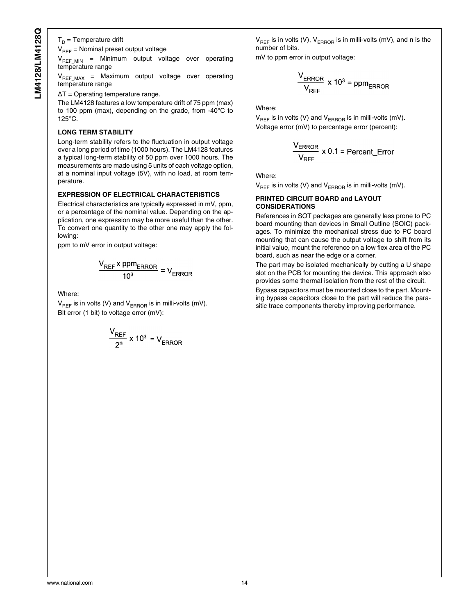${\sf T}_{\sf D}$  = Temperature drift

 $V_{BFE}$  = Nominal preset output voltage

 $V_{BFEMM}$  = Minimum output voltage over operating temperature range

V<sub>REF\_MAX</sub> = Maximum output voltage over operating temperature range

ΔT = Operating temperature range.

The LM4128 features a low temperature drift of 75 ppm (max) to 100 ppm (max), depending on the grade, from -40°C to 125°C.

#### **LONG TERM STABILITY**

Long-term stability refers to the fluctuation in output voltage over a long period of time (1000 hours). The LM4128 features a typical long-term stability of 50 ppm over 1000 hours. The measurements are made using 5 units of each voltage option, at a nominal input voltage (5V), with no load, at room temperature.

#### **EXPRESSION OF ELECTRICAL CHARACTERISTICS**

Electrical characteristics are typically expressed in mV, ppm, or a percentage of the nominal value. Depending on the application, one expression may be more useful than the other. To convert one quantity to the other one may apply the following:

ppm to mV error in output voltage:

$$
\frac{V_{REF} \times ppm_{ERROR}}{10^3} = V_{ERROR}
$$

Where:

 $V_{REF}$  is in volts (V) and  $V_{ERROR}$  is in milli-volts (mV). Bit error (1 bit) to voltage error (mV):

$$
\frac{V_{REF}}{2^n} \times 10^3 = V_{ERROR}
$$

 $V_{BEF}$  is in volts (V),  $V_{EBROB}$  is in milli-volts (mV), and n is the number of bits.

mV to ppm error in output voltage:

$$
\frac{V_{\text{ERROR}}}{V_{\text{REF}}} \times 10^3 = \text{ppm}_{\text{ERROR}}
$$

Where:

 $V_{REF}$  is in volts (V) and  $V_{EBROR}$  is in milli-volts (mV). Voltage error (mV) to percentage error (percent):

$$
\frac{V_{\text{ERROR}}}{V_{\text{REF}}} \times 0.1 = \text{Percent} \_ \text{Error}
$$

Where:

 $V_{BFE}$  is in volts (V) and  $V_{EBROB}$  is in milli-volts (mV).

#### **PRINTED CIRCUIT BOARD and LAYOUT CONSIDERATIONS**

References in SOT packages are generally less prone to PC board mounting than devices in Small Outline (SOIC) packages. To minimize the mechanical stress due to PC board mounting that can cause the output voltage to shift from its initial value, mount the reference on a low flex area of the PC board, such as near the edge or a corner.

The part may be isolated mechanically by cutting a U shape slot on the PCB for mounting the device. This approach also provides some thermal isolation from the rest of the circuit.

Bypass capacitors must be mounted close to the part. Mounting bypass capacitors close to the part will reduce the parasitic trace components thereby improving performance.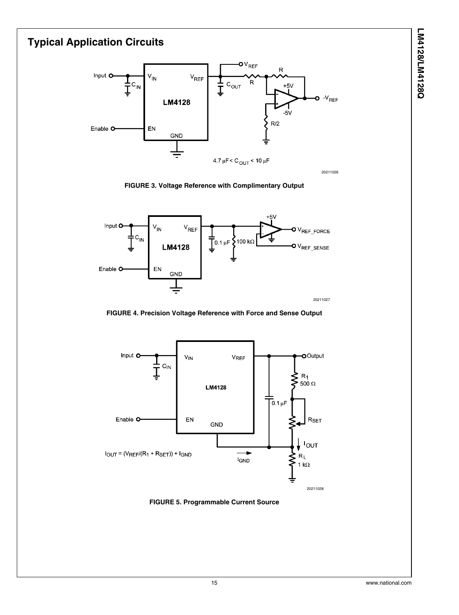# LM4128/LM4128Q **LM4128/LM4128Q**

# **Typical Application Circuits**







**FIGURE 4. Precision Voltage Reference with Force and Sense Output**



**FIGURE 5. Programmable Current Source**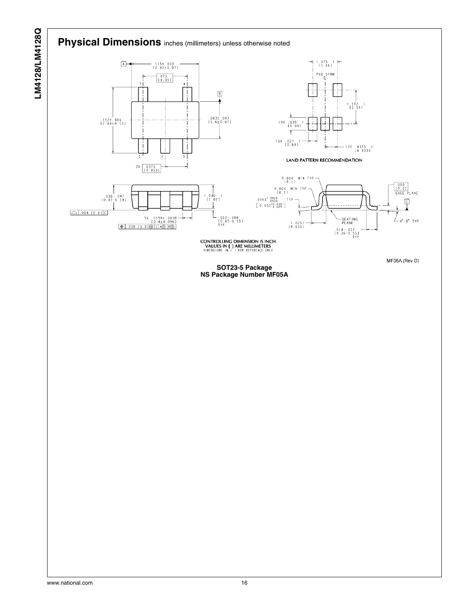# **Physical Dimensions** inches (millimeters) unless otherwise noted



MF05A (Rev D)

.008<br>[0.2]<br>GAGE PLANE

 $\sqrt{2}$ 

- 0°-8° TYP

**CONTROLLING DIMENSION IS INCH<br>
VALUES IN [ ] ARE MILLIMETERS<br>
DIMENSIONS IN ( ) FOR REFERENCE ONLY** 

**SOT23-5 Package NS Package Number MF05A**

LM4128/LM4128Q **LM4128/LM4128Q**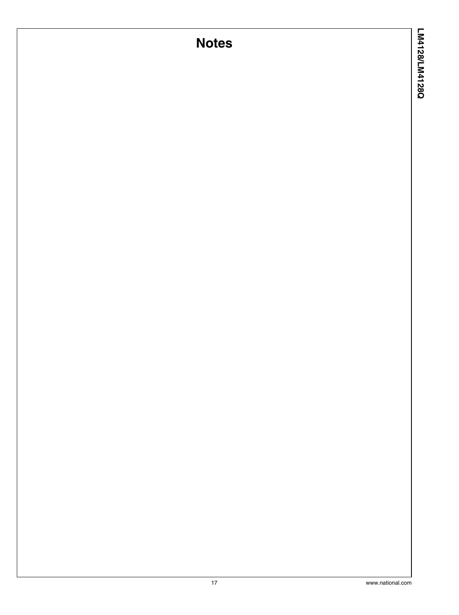# **Notes**